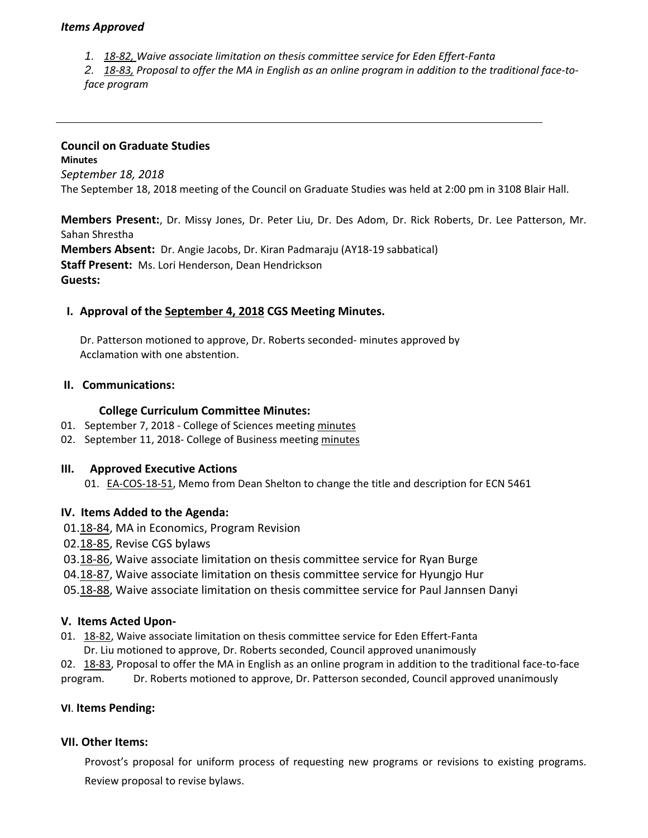#### *Items Approved*

*1. 18‐[82,](http://castle.eiu.edu/eiucgs/currentagendaitems/agenda18-82.pdf) Waive associate limitation on thesis committee service for Eden Effert‐Fanta*

2. 18-[83,](http://castle.eiu.edu/eiucgs/currentagendaitems/agenda18-83.pdf) Proposal to offer the MA in English as an online program in addition to the traditional face-to*face program*

#### **Council on Graduate Studies Minutes**

*September 18, 2018* The September 18, 2018 meeting of the Council on Graduate Studies was held at 2:00 pm in 3108 Blair Hall.

**Members Present:**, Dr. Missy Jones, Dr. Peter Liu, Dr. Des Adom, Dr. Rick Roberts, Dr. Lee Patterson, Mr. Sahan Shrestha **Members Absent:** Dr. Angie Jacobs, Dr. Kiran Padmaraju (AY18‐19 sabbatical) **Staff Present:** Ms. Lori Henderson, Dean Hendrickson **Guests:**

# **I. Approval of the [September](http://castle.eiu.edu/eiucgs/currentminutes/Minutes09-04-18.pdf) 4, 2018 CGS Meeting Minutes.**

Dr. Patterson motioned to approve, Dr. Roberts seconded‐ minutes approved by Acclamation with one abstention.

### **II. Communications:**

## **College Curriculum Committee Minutes:**

- 01. September 7, 2018 ‐ College of Sciences meeting [minutes](https://www.eiu.edu/colsci/coscc/minutes_2018/COSCC_Minutes_9_7_18.pdf)
- 02. September 11, 2018- College of Business meeting [minutes](https://www.eiu.edu/lumpkin/curriculum/lcbascurrmin20180911.pdf)

### **III. Approved Executive Actions**

01. EA-[COS](http://castle.eiu.edu/eiucgs/exec-actions/EA-COS-18-51.pdf)-18-51, Memo from Dean Shelton to change the title and description for ECN 5461

### **IV. Items Added to the Agenda:**

- 01.18‐[84,](http://castle.eiu.edu/eiucgs/currentagendaitems/agenda18-84.pdf) MA in Economics, Program Revision
- 02.18‐[85,](http://castle.eiu.edu/eiucgs/currentagendaitems/agenda18-85.pdf) Revise CGS bylaws
- 03.18‐[86,](http://castle.eiu.edu/eiucgs/currentagendaitems/agenda18-86.pdf) Waive associate limitation on thesis committee service for Ryan Burge
- 04[.18](http://castle.eiu.edu/eiucgs/currentagendaitems/agenda18-87.pdf)‐87, Waive associate limitation on thesis committee service for Hyungjo Hur
- 05.18‐[88,](http://castle.eiu.edu/eiucgs/currentagendaitems/agenda18-88.pdf) Waive associate limitation on thesis committee service for Paul Jannsen Danyi

### **V. Items Acted Upon‐**

- 01. 18‐[82,](http://castle.eiu.edu/eiucgs/currentagendaitems/agenda18-82.pdf) Waive associate limitation on thesis committee service for Eden Effert‐Fanta Dr. Liu motioned to approve, Dr. Roberts seconded, Council approved unanimously
- 02. 18‐[83,](http://castle.eiu.edu/eiucgs/currentagendaitems/agenda18-83.pdf) Proposal to offer the MA in English as an online program in addition to the traditional face‐to‐face

program. Dr. Roberts motioned to approve, Dr. Patterson seconded, Council approved unanimously

### **VI**. **Items Pending:**

### **VII. Other Items:**

Provost's proposal for uniform process of requesting new programs or revisions to existing programs. Review proposal to revise bylaws.